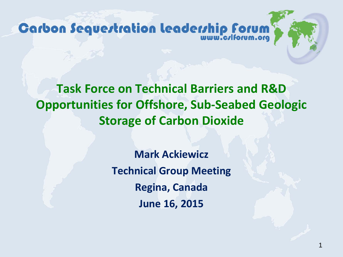Carbon Sequertration leaderrhip forum

**Task Force on Technical Barriers and R&D Opportunities for Offshore, Sub-Seabed Geologic Storage of Carbon Dioxide**

> **Mark Ackiewicz Technical Group Meeting Regina, Canada June 16, 2015**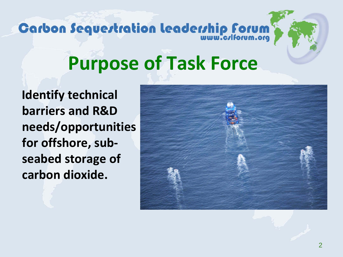# Carbon Sequertration Leaderrhip Forum

### **Purpose of Task Force**

**Identify technical barriers and R&D needs/opportunities for offshore, subseabed storage of carbon dioxide.**

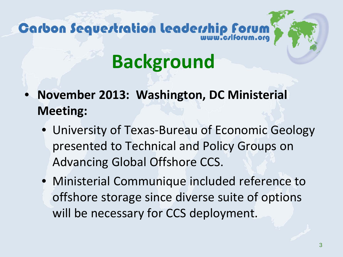## Carbon Sequestration leadership forum

## **Background**

- **November 2013: Washington, DC Ministerial Meeting:**
	- University of Texas-Bureau of Economic Geology presented to Technical and Policy Groups on Advancing Global Offshore CCS.
	- Ministerial Communique included reference to offshore storage since diverse suite of options will be necessary for CCS deployment.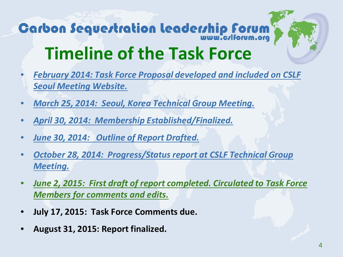## **Carbon Sequertration leaderrhip forum Timeline of the Task Force**

- *February 2014: Task Force Proposal developed and included on CSLF Seoul Meeting Website.*
- *March 25, 2014: Seoul, Korea Technical Group Meeting.*
- *April 30, 2014: Membership Established/Finalized.*
- *June 30, 2014: Outline of Report Drafted.*
- *October 28, 2014: Progress/Status report at CSLF Technical Group Meeting.*
- *June 2, 2015: First draft of report completed. Circulated to Task Force Members for comments and edits.*
- **July 17, 2015: Task Force Comments due.**
- **August 31, 2015: Report finalized.**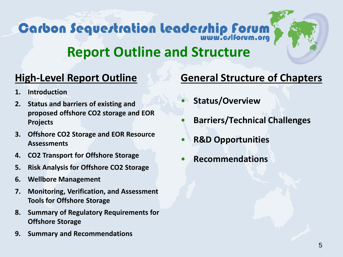## Carbon Sequertration leaderrhip Forum



### **Report Outline and Structure**

### **High-Level Report Outline**

- **1. Introduction**
- **2. Status and barriers of existing and proposed offshore CO2 storage and EOR Projects**
- **3. Offshore CO2 Storage and EOR Resource Assessments**
- **4. CO2 Transport for Offshore Storage**
- **5. Risk Analysis for Offshore CO2 Storage**
- **6. Wellbore Management**
- **7. Monitoring, Verification, and Assessment Tools for Offshore Storage**
- **8. Summary of Regulatory Requirements for Offshore Storage**
- **9. Summary and Recommendations**

#### **General Structure of Chapters**

- **Status/Overview**
- **Barriers/Technical Challenges**
- **R&D Opportunities**
- **Recommendations**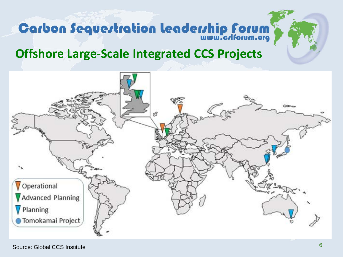# **Carbon Sequertration Leaderrhip Forum**

### **Offshore Large-Scale Integrated CCS Projects**

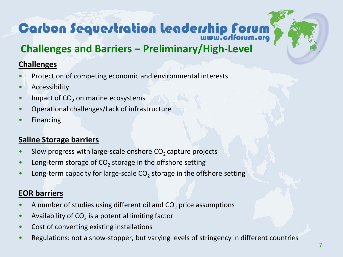## **Carbon Sequertration Leaderrhip Forum**

### **Challenges and Barriers – Preliminary/High-Level**

#### **Challenges**

- Protection of competing economic and environmental interests
- **Accessibility**
- $\bullet$  Impact of CO<sub>2</sub> on marine ecosystems
- Operational challenges/Lack of infrastructure
- **Financing**

#### **Saline Storage barriers**

- Slow progress with large-scale onshore  $CO<sub>2</sub>$  capture projects
- Long-term storage of  $CO<sub>2</sub>$  storage in the offshore setting
- Long-term capacity for large-scale  $CO<sub>2</sub>$  storage in the offshore setting

#### **EOR barriers**

- A number of studies using different oil and  $CO<sub>2</sub>$  price assumptions
- Availability of  $CO<sub>2</sub>$  is a potential limiting factor
- Cost of converting existing installations
- Regulations: not a show-stopper, but varying levels of stringency in different countries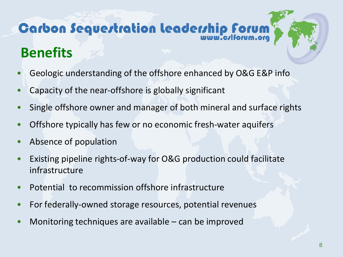### Carbon Sequertration leaderrhip forum **Benefits**

- Geologic understanding of the offshore enhanced by O&G E&P info
- Capacity of the near-offshore is globally significant
- Single offshore owner and manager of both mineral and surface rights
- Offshore typically has few or no economic fresh-water aquifers
- Absence of population
- Existing pipeline rights-of-way for O&G production could facilitate infrastructure
- Potential to recommission offshore infrastructure
- For federally-owned storage resources, potential revenues
- Monitoring techniques are available  $-$  can be improved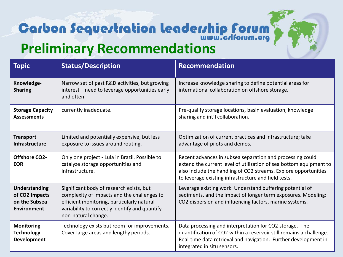### **Carbon Sequertration leaderrhip forum Preliminary Recommendations**

| <b>Topic</b>                                                           | <b>Status/Description</b>                                                                                                                                                                                      | <b>Recommendation</b>                                                                                                                                                                                                                                      |
|------------------------------------------------------------------------|----------------------------------------------------------------------------------------------------------------------------------------------------------------------------------------------------------------|------------------------------------------------------------------------------------------------------------------------------------------------------------------------------------------------------------------------------------------------------------|
| Knowledge-<br><b>Sharing</b>                                           | Narrow set of past R&D activities, but growing<br>interest - need to leverage opportunities early<br>and often                                                                                                 | Increase knowledge sharing to define potential areas for<br>international collaboration on offshore storage.                                                                                                                                               |
| <b>Storage Capacity</b><br><b>Assessments</b>                          | currently inadequate.                                                                                                                                                                                          | Pre-qualify storage locations, basin evaluation; knowledge<br>sharing and int'l collaboration.                                                                                                                                                             |
| <b>Transport</b><br><b>Infrastructure</b>                              | Limited and potentially expensive, but less<br>exposure to issues around routing.                                                                                                                              | Optimization of current practices and infrastructure; take<br>advantage of pilots and demos.                                                                                                                                                               |
| <b>Offshore CO2-</b><br><b>EOR</b>                                     | Only one project - Lula in Brazil. Possible to<br>catalyze storage opportunities and<br>infrastructure.                                                                                                        | Recent advances in subsea separation and processing could<br>extend the current level of utilization of sea bottom equipment to<br>also include the handling of CO2 streams. Explore opportunities<br>to leverage existing infrastructure and field tests. |
| Understanding<br>of CO2 Impacts<br>on the Subsea<br><b>Environment</b> | Significant body of research exists, but<br>complexity of impacts and the challenges to<br>efficient monitoring, particularly natural<br>variability to correctly identify and quantify<br>non-natural change. | Leverage existing work. Understand buffering potential of<br>sediments, and the impact of longer term exposures. Modeling:<br>CO2 dispersion and influencing factors, marine systems.                                                                      |
| <b>Monitoring</b><br><b>Technology</b><br><b>Development</b>           | Technology exists but room for improvements.<br>Cover large areas and lengthy periods.                                                                                                                         | Data processing and interpretation for CO2 storage. The<br>quantification of CO2 within a reservoir still remains a challenge.<br>Real-time data retrieval and navigation. Further development in<br>integrated in situ sensors.                           |